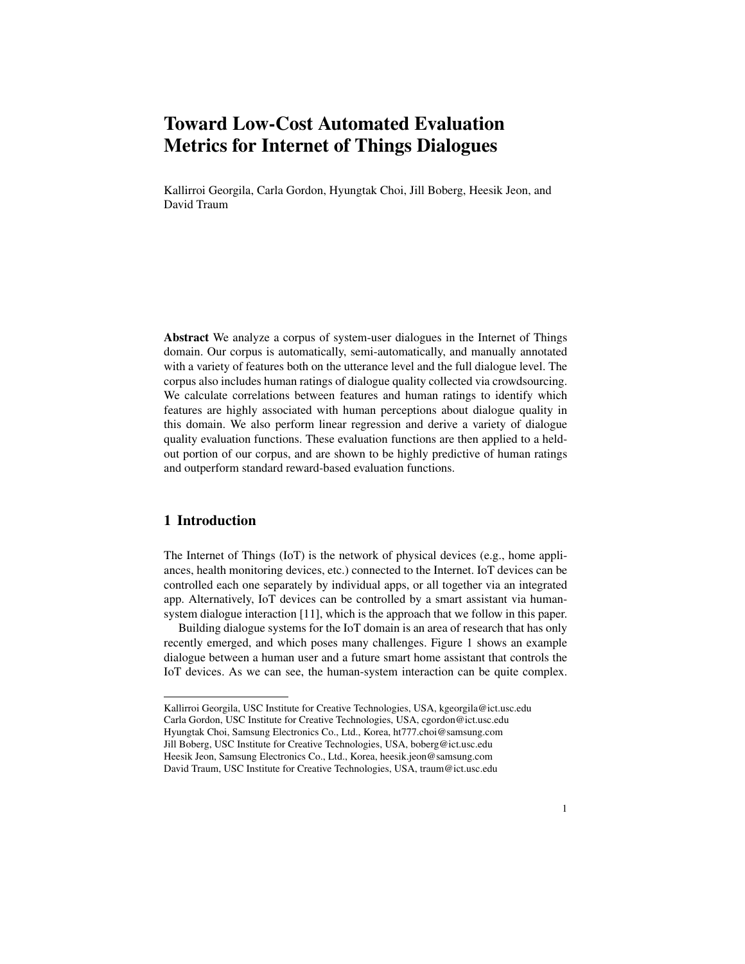# Toward Low-Cost Automated Evaluation Metrics for Internet of Things Dialogues

Kallirroi Georgila, Carla Gordon, Hyungtak Choi, Jill Boberg, Heesik Jeon, and David Traum

Abstract We analyze a corpus of system-user dialogues in the Internet of Things domain. Our corpus is automatically, semi-automatically, and manually annotated with a variety of features both on the utterance level and the full dialogue level. The corpus also includes human ratings of dialogue quality collected via crowdsourcing. We calculate correlations between features and human ratings to identify which features are highly associated with human perceptions about dialogue quality in this domain. We also perform linear regression and derive a variety of dialogue quality evaluation functions. These evaluation functions are then applied to a heldout portion of our corpus, and are shown to be highly predictive of human ratings and outperform standard reward-based evaluation functions.

## 1 Introduction

The Internet of Things (IoT) is the network of physical devices (e.g., home appliances, health monitoring devices, etc.) connected to the Internet. IoT devices can be controlled each one separately by individual apps, or all together via an integrated app. Alternatively, IoT devices can be controlled by a smart assistant via humansystem dialogue interaction [11], which is the approach that we follow in this paper.

Building dialogue systems for the IoT domain is an area of research that has only recently emerged, and which poses many challenges. Figure 1 shows an example dialogue between a human user and a future smart home assistant that controls the IoT devices. As we can see, the human-system interaction can be quite complex.

Kallirroi Georgila, USC Institute for Creative Technologies, USA, kgeorgila@ict.usc.edu Carla Gordon, USC Institute for Creative Technologies, USA, cgordon@ict.usc.edu Hyungtak Choi, Samsung Electronics Co., Ltd., Korea, ht777.choi@samsung.com Jill Boberg, USC Institute for Creative Technologies, USA, boberg@ict.usc.edu Heesik Jeon, Samsung Electronics Co., Ltd., Korea, heesik.jeon@samsung.com David Traum, USC Institute for Creative Technologies, USA, traum@ict.usc.edu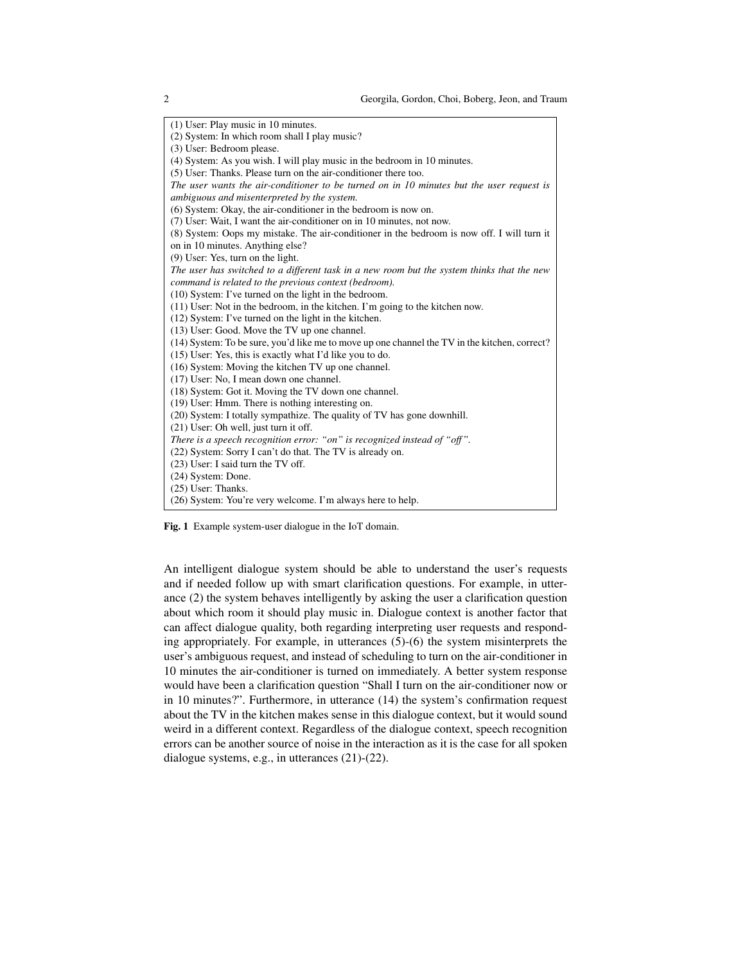(1) User: Play music in 10 minutes. (2) System: In which room shall I play music? (3) User: Bedroom please. (4) System: As you wish. I will play music in the bedroom in 10 minutes. (5) User: Thanks. Please turn on the air-conditioner there too. *The user wants the air-conditioner to be turned on in 10 minutes but the user request is ambiguous and misenterpreted by the system.* (6) System: Okay, the air-conditioner in the bedroom is now on. (7) User: Wait, I want the air-conditioner on in 10 minutes, not now. (8) System: Oops my mistake. The air-conditioner in the bedroom is now off. I will turn it on in 10 minutes. Anything else? (9) User: Yes, turn on the light. *The user has switched to a different task in a new room but the system thinks that the new command is related to the previous context (bedroom).* (10) System: I've turned on the light in the bedroom. (11) User: Not in the bedroom, in the kitchen. I'm going to the kitchen now. (12) System: I've turned on the light in the kitchen. (13) User: Good. Move the TV up one channel. (14) System: To be sure, you'd like me to move up one channel the TV in the kitchen, correct? (15) User: Yes, this is exactly what I'd like you to do. (16) System: Moving the kitchen TV up one channel. (17) User: No, I mean down one channel. (18) System: Got it. Moving the TV down one channel. (19) User: Hmm. There is nothing interesting on. (20) System: I totally sympathize. The quality of TV has gone downhill. (21) User: Oh well, just turn it off. *There is a speech recognition error: "on" is recognized instead of "off".* (22) System: Sorry I can't do that. The TV is already on. (23) User: I said turn the TV off. (24) System: Done. (25) User: Thanks. (26) System: You're very welcome. I'm always here to help.

Fig. 1 Example system-user dialogue in the IoT domain.

An intelligent dialogue system should be able to understand the user's requests and if needed follow up with smart clarification questions. For example, in utterance (2) the system behaves intelligently by asking the user a clarification question about which room it should play music in. Dialogue context is another factor that can affect dialogue quality, both regarding interpreting user requests and responding appropriately. For example, in utterances (5)-(6) the system misinterprets the user's ambiguous request, and instead of scheduling to turn on the air-conditioner in 10 minutes the air-conditioner is turned on immediately. A better system response would have been a clarification question "Shall I turn on the air-conditioner now or in 10 minutes?". Furthermore, in utterance (14) the system's confirmation request about the TV in the kitchen makes sense in this dialogue context, but it would sound weird in a different context. Regardless of the dialogue context, speech recognition errors can be another source of noise in the interaction as it is the case for all spoken dialogue systems, e.g., in utterances (21)-(22).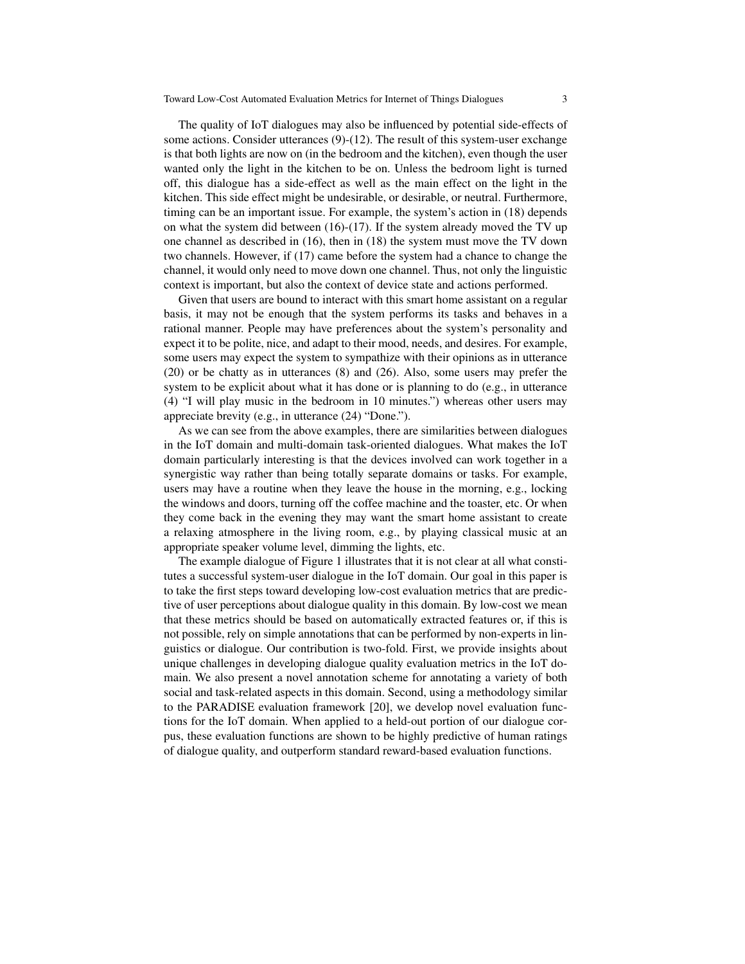The quality of IoT dialogues may also be influenced by potential side-effects of some actions. Consider utterances (9)-(12). The result of this system-user exchange is that both lights are now on (in the bedroom and the kitchen), even though the user wanted only the light in the kitchen to be on. Unless the bedroom light is turned off, this dialogue has a side-effect as well as the main effect on the light in the kitchen. This side effect might be undesirable, or desirable, or neutral. Furthermore, timing can be an important issue. For example, the system's action in (18) depends on what the system did between (16)-(17). If the system already moved the TV up one channel as described in (16), then in (18) the system must move the TV down two channels. However, if (17) came before the system had a chance to change the channel, it would only need to move down one channel. Thus, not only the linguistic context is important, but also the context of device state and actions performed.

Given that users are bound to interact with this smart home assistant on a regular basis, it may not be enough that the system performs its tasks and behaves in a rational manner. People may have preferences about the system's personality and expect it to be polite, nice, and adapt to their mood, needs, and desires. For example, some users may expect the system to sympathize with their opinions as in utterance (20) or be chatty as in utterances (8) and (26). Also, some users may prefer the system to be explicit about what it has done or is planning to do (e.g., in utterance (4) "I will play music in the bedroom in 10 minutes.") whereas other users may appreciate brevity (e.g., in utterance (24) "Done.").

As we can see from the above examples, there are similarities between dialogues in the IoT domain and multi-domain task-oriented dialogues. What makes the IoT domain particularly interesting is that the devices involved can work together in a synergistic way rather than being totally separate domains or tasks. For example, users may have a routine when they leave the house in the morning, e.g., locking the windows and doors, turning off the coffee machine and the toaster, etc. Or when they come back in the evening they may want the smart home assistant to create a relaxing atmosphere in the living room, e.g., by playing classical music at an appropriate speaker volume level, dimming the lights, etc.

The example dialogue of Figure 1 illustrates that it is not clear at all what constitutes a successful system-user dialogue in the IoT domain. Our goal in this paper is to take the first steps toward developing low-cost evaluation metrics that are predictive of user perceptions about dialogue quality in this domain. By low-cost we mean that these metrics should be based on automatically extracted features or, if this is not possible, rely on simple annotations that can be performed by non-experts in linguistics or dialogue. Our contribution is two-fold. First, we provide insights about unique challenges in developing dialogue quality evaluation metrics in the IoT domain. We also present a novel annotation scheme for annotating a variety of both social and task-related aspects in this domain. Second, using a methodology similar to the PARADISE evaluation framework [20], we develop novel evaluation functions for the IoT domain. When applied to a held-out portion of our dialogue corpus, these evaluation functions are shown to be highly predictive of human ratings of dialogue quality, and outperform standard reward-based evaluation functions.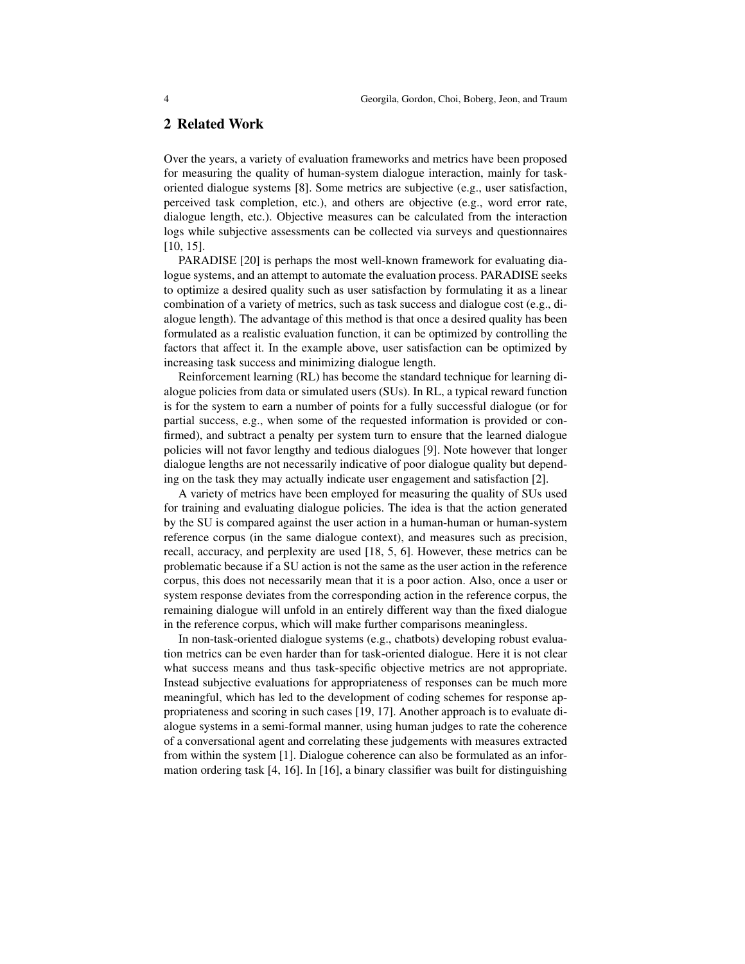## 2 Related Work

Over the years, a variety of evaluation frameworks and metrics have been proposed for measuring the quality of human-system dialogue interaction, mainly for taskoriented dialogue systems [8]. Some metrics are subjective (e.g., user satisfaction, perceived task completion, etc.), and others are objective (e.g., word error rate, dialogue length, etc.). Objective measures can be calculated from the interaction logs while subjective assessments can be collected via surveys and questionnaires [10, 15].

PARADISE [20] is perhaps the most well-known framework for evaluating dialogue systems, and an attempt to automate the evaluation process. PARADISE seeks to optimize a desired quality such as user satisfaction by formulating it as a linear combination of a variety of metrics, such as task success and dialogue cost (e.g., dialogue length). The advantage of this method is that once a desired quality has been formulated as a realistic evaluation function, it can be optimized by controlling the factors that affect it. In the example above, user satisfaction can be optimized by increasing task success and minimizing dialogue length.

Reinforcement learning (RL) has become the standard technique for learning dialogue policies from data or simulated users (SUs). In RL, a typical reward function is for the system to earn a number of points for a fully successful dialogue (or for partial success, e.g., when some of the requested information is provided or confirmed), and subtract a penalty per system turn to ensure that the learned dialogue policies will not favor lengthy and tedious dialogues [9]. Note however that longer dialogue lengths are not necessarily indicative of poor dialogue quality but depending on the task they may actually indicate user engagement and satisfaction [2].

A variety of metrics have been employed for measuring the quality of SUs used for training and evaluating dialogue policies. The idea is that the action generated by the SU is compared against the user action in a human-human or human-system reference corpus (in the same dialogue context), and measures such as precision, recall, accuracy, and perplexity are used [18, 5, 6]. However, these metrics can be problematic because if a SU action is not the same as the user action in the reference corpus, this does not necessarily mean that it is a poor action. Also, once a user or system response deviates from the corresponding action in the reference corpus, the remaining dialogue will unfold in an entirely different way than the fixed dialogue in the reference corpus, which will make further comparisons meaningless.

In non-task-oriented dialogue systems (e.g., chatbots) developing robust evaluation metrics can be even harder than for task-oriented dialogue. Here it is not clear what success means and thus task-specific objective metrics are not appropriate. Instead subjective evaluations for appropriateness of responses can be much more meaningful, which has led to the development of coding schemes for response appropriateness and scoring in such cases [19, 17]. Another approach is to evaluate dialogue systems in a semi-formal manner, using human judges to rate the coherence of a conversational agent and correlating these judgements with measures extracted from within the system [1]. Dialogue coherence can also be formulated as an information ordering task [4, 16]. In [16], a binary classifier was built for distinguishing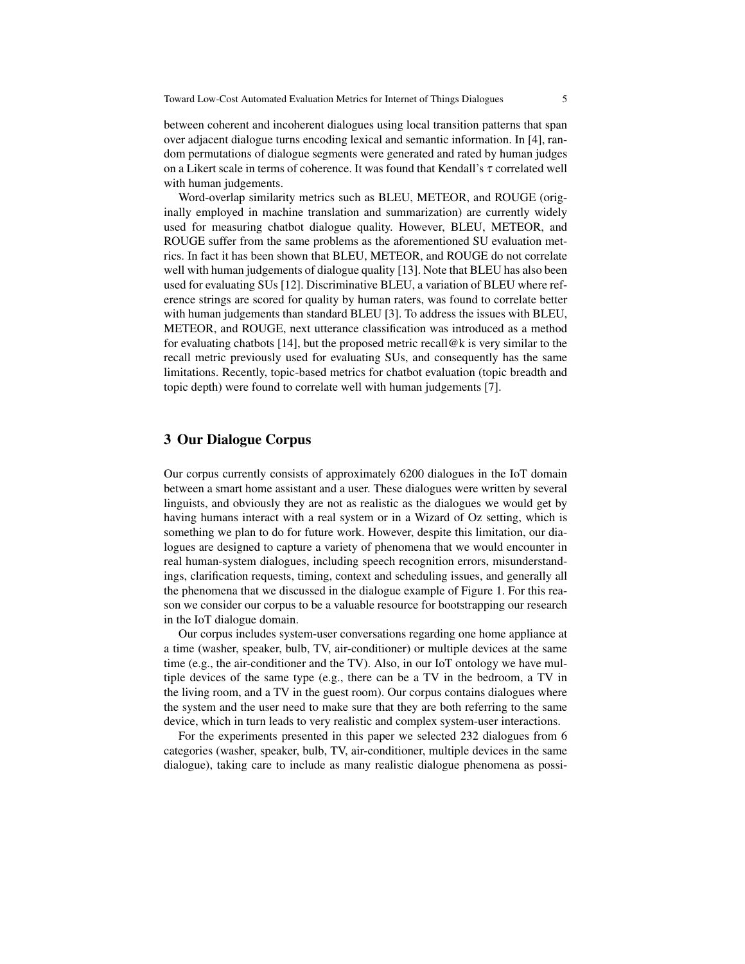between coherent and incoherent dialogues using local transition patterns that span over adjacent dialogue turns encoding lexical and semantic information. In [4], random permutations of dialogue segments were generated and rated by human judges on a Likert scale in terms of coherence. It was found that Kendall's τ correlated well with human judgements.

Word-overlap similarity metrics such as BLEU, METEOR, and ROUGE (originally employed in machine translation and summarization) are currently widely used for measuring chatbot dialogue quality. However, BLEU, METEOR, and ROUGE suffer from the same problems as the aforementioned SU evaluation metrics. In fact it has been shown that BLEU, METEOR, and ROUGE do not correlate well with human judgements of dialogue quality [13]. Note that BLEU has also been used for evaluating SUs [12]. Discriminative BLEU, a variation of BLEU where reference strings are scored for quality by human raters, was found to correlate better with human judgements than standard BLEU [3]. To address the issues with BLEU, METEOR, and ROUGE, next utterance classification was introduced as a method for evaluating chatbots [14], but the proposed metric recall  $@k$  is very similar to the recall metric previously used for evaluating SUs, and consequently has the same limitations. Recently, topic-based metrics for chatbot evaluation (topic breadth and topic depth) were found to correlate well with human judgements [7].

#### 3 Our Dialogue Corpus

Our corpus currently consists of approximately 6200 dialogues in the IoT domain between a smart home assistant and a user. These dialogues were written by several linguists, and obviously they are not as realistic as the dialogues we would get by having humans interact with a real system or in a Wizard of Oz setting, which is something we plan to do for future work. However, despite this limitation, our dialogues are designed to capture a variety of phenomena that we would encounter in real human-system dialogues, including speech recognition errors, misunderstandings, clarification requests, timing, context and scheduling issues, and generally all the phenomena that we discussed in the dialogue example of Figure 1. For this reason we consider our corpus to be a valuable resource for bootstrapping our research in the IoT dialogue domain.

Our corpus includes system-user conversations regarding one home appliance at a time (washer, speaker, bulb, TV, air-conditioner) or multiple devices at the same time (e.g., the air-conditioner and the TV). Also, in our IoT ontology we have multiple devices of the same type (e.g., there can be a TV in the bedroom, a TV in the living room, and a TV in the guest room). Our corpus contains dialogues where the system and the user need to make sure that they are both referring to the same device, which in turn leads to very realistic and complex system-user interactions.

For the experiments presented in this paper we selected 232 dialogues from 6 categories (washer, speaker, bulb, TV, air-conditioner, multiple devices in the same dialogue), taking care to include as many realistic dialogue phenomena as possi-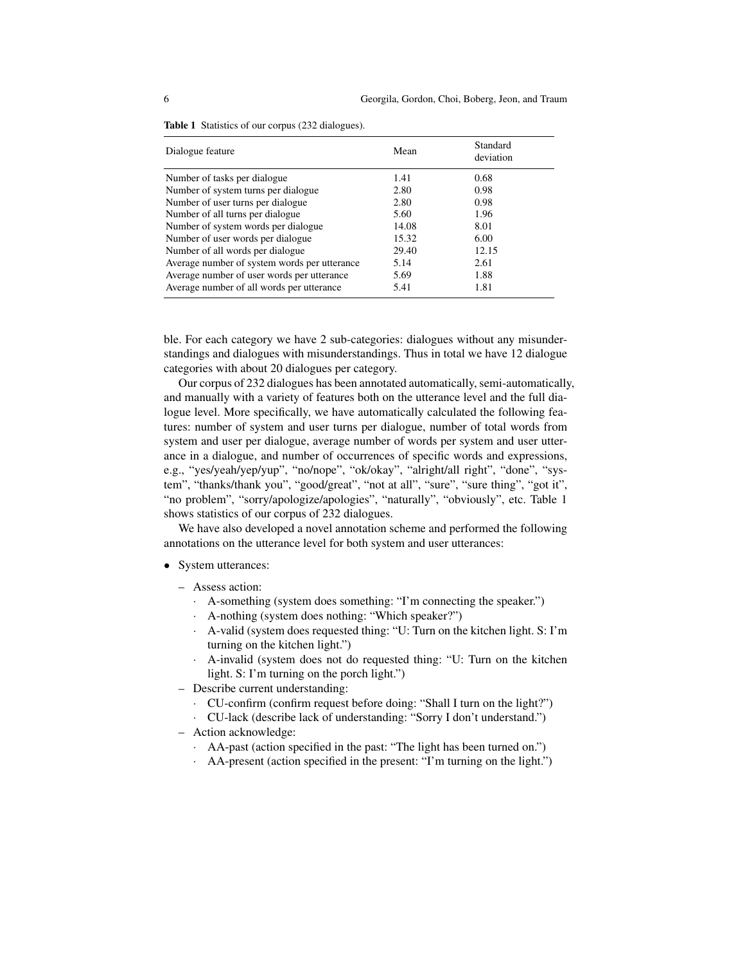| Dialogue feature                             | Mean  | Standard<br>deviation |
|----------------------------------------------|-------|-----------------------|
| Number of tasks per dialogue.                | 1.41  | 0.68                  |
| Number of system turns per dialogue          | 2.80  | 0.98                  |
| Number of user turns per dialogue.           | 2.80  | 0.98                  |
| Number of all turns per dialogue.            | 5.60  | 1.96                  |
| Number of system words per dialogue.         | 14.08 | 8.01                  |
| Number of user words per dialogue            | 15.32 | 6.00                  |
| Number of all words per dialogue             | 29.40 | 12.15                 |
| Average number of system words per utterance | 5.14  | 2.61                  |
| Average number of user words per utterance   | 5.69  | 1.88                  |
| Average number of all words per utterance    | 5.41  | 1.81                  |

Table 1 Statistics of our corpus (232 dialogues).

ble. For each category we have 2 sub-categories: dialogues without any misunderstandings and dialogues with misunderstandings. Thus in total we have 12 dialogue categories with about 20 dialogues per category.

Our corpus of 232 dialogues has been annotated automatically, semi-automatically, and manually with a variety of features both on the utterance level and the full dialogue level. More specifically, we have automatically calculated the following features: number of system and user turns per dialogue, number of total words from system and user per dialogue, average number of words per system and user utterance in a dialogue, and number of occurrences of specific words and expressions, e.g., "yes/yeah/yep/yup", "no/nope", "ok/okay", "alright/all right", "done", "system", "thanks/thank you", "good/great", "not at all", "sure", "sure thing", "got it", "no problem", "sorry/apologize/apologies", "naturally", "obviously", etc. Table 1 shows statistics of our corpus of 232 dialogues.

We have also developed a novel annotation scheme and performed the following annotations on the utterance level for both system and user utterances:

- System utterances:
	- Assess action:
		- · A-something (system does something: "I'm connecting the speaker.")
		- A-nothing (system does nothing: "Which speaker?")
		- · A-valid (system does requested thing: "U: Turn on the kitchen light. S: I'm turning on the kitchen light.")
		- · A-invalid (system does not do requested thing: "U: Turn on the kitchen light. S: I'm turning on the porch light.")
	- Describe current understanding:
		- · CU-confirm (confirm request before doing: "Shall I turn on the light?")
		- · CU-lack (describe lack of understanding: "Sorry I don't understand.")
	- Action acknowledge:
		- · AA-past (action specified in the past: "The light has been turned on.")
		- · AA-present (action specified in the present: "I'm turning on the light.")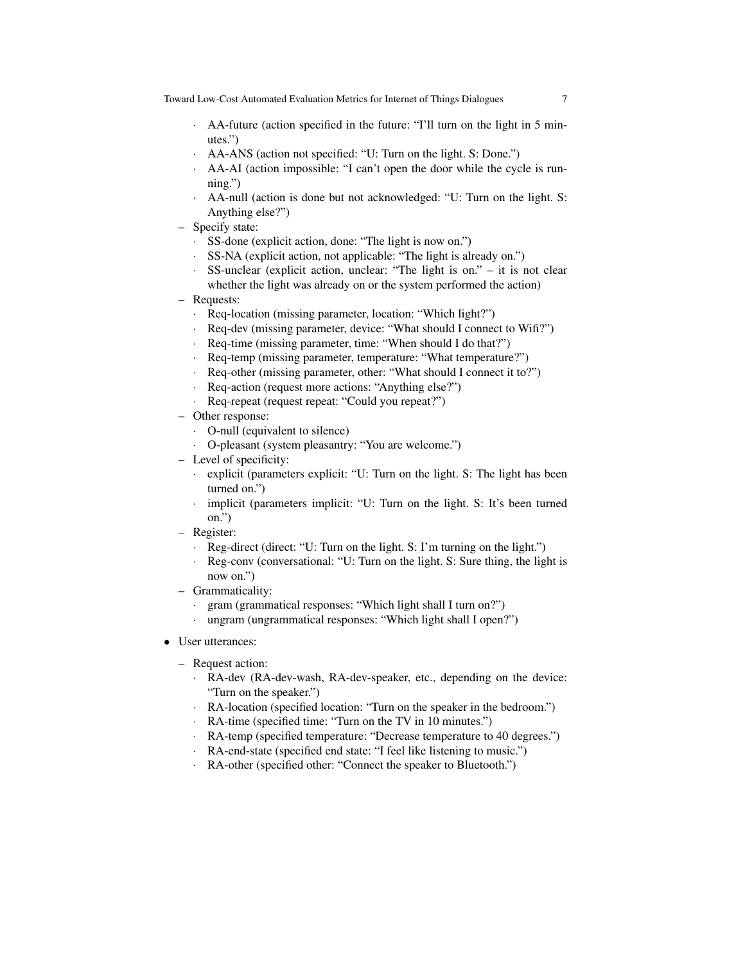Toward Low-Cost Automated Evaluation Metrics for Internet of Things Dialogues 7

- · AA-future (action specified in the future: "I'll turn on the light in 5 minutes.")
- · AA-ANS (action not specified: "U: Turn on the light. S: Done.")
- · AA-AI (action impossible: "I can't open the door while the cycle is running.")
- · AA-null (action is done but not acknowledged: "U: Turn on the light. S: Anything else?")
- Specify state:
	- · SS-done (explicit action, done: "The light is now on.")
	- SS-NA (explicit action, not applicable: "The light is already on.")
	- SS-unclear (explicit action, unclear: "The light is on." it is not clear

whether the light was already on or the system performed the action) – Requests:

- · Req-location (missing parameter, location: "Which light?")
- · Req-dev (missing parameter, device: "What should I connect to Wifi?")
- · Req-time (missing parameter, time: "When should I do that?")
- · Req-temp (missing parameter, temperature: "What temperature?")
- · Req-other (missing parameter, other: "What should I connect it to?")
- · Req-action (request more actions: "Anything else?")
- · Req-repeat (request repeat: "Could you repeat?")
- Other response:
	- · O-null (equivalent to silence)
	- · O-pleasant (system pleasantry: "You are welcome.")
- Level of specificity:
	- · explicit (parameters explicit: "U: Turn on the light. S: The light has been turned on.")
	- · implicit (parameters implicit: "U: Turn on the light. S: It's been turned on.")
- Register:
	- · Reg-direct (direct: "U: Turn on the light. S: I'm turning on the light.")
	- · Reg-conv (conversational: "U: Turn on the light. S: Sure thing, the light is now on.")
- Grammaticality:
	- · gram (grammatical responses: "Which light shall I turn on?")
	- · ungram (ungrammatical responses: "Which light shall I open?")
- User utterances:
	- Request action:
		- RA-dev (RA-dev-wash, RA-dev-speaker, etc., depending on the device: "Turn on the speaker.")
		- · RA-location (specified location: "Turn on the speaker in the bedroom.")
		- · RA-time (specified time: "Turn on the TV in 10 minutes.")
		- · RA-temp (specified temperature: "Decrease temperature to 40 degrees.")
		- · RA-end-state (specified end state: "I feel like listening to music.")
		- · RA-other (specified other: "Connect the speaker to Bluetooth.")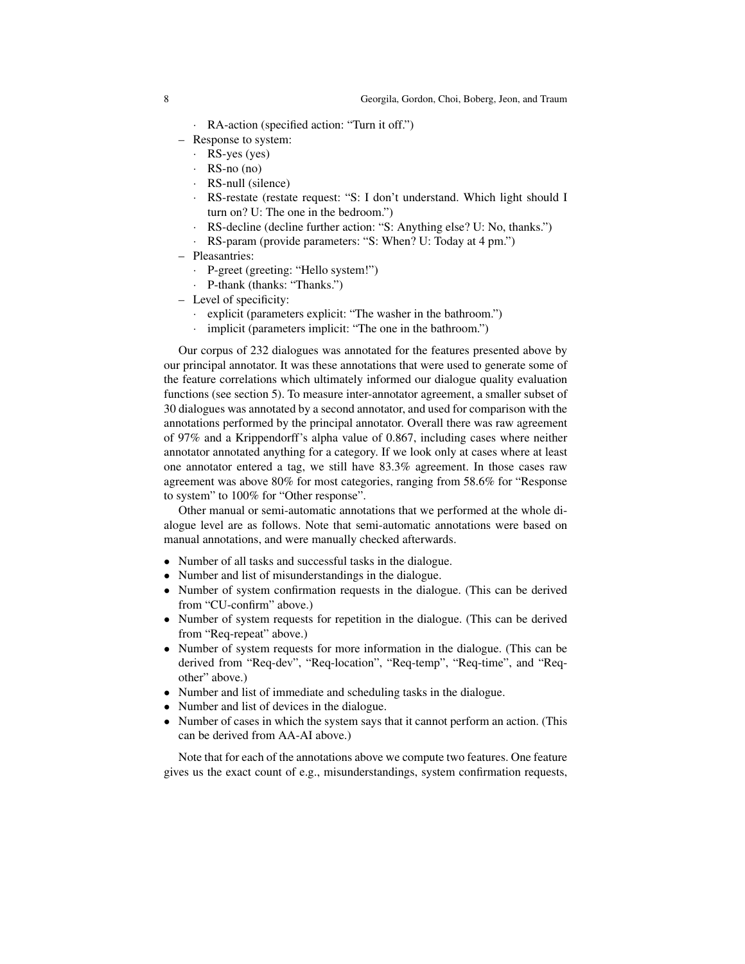· RA-action (specified action: "Turn it off.")

- Response to system:
	- · RS-yes (yes)
	- · RS-no (no)
	- · RS-null (silence)
	- · RS-restate (restate request: "S: I don't understand. Which light should I turn on? U: The one in the bedroom.")
	- · RS-decline (decline further action: "S: Anything else? U: No, thanks.")
	- · RS-param (provide parameters: "S: When? U: Today at 4 pm.")
- Pleasantries:
	- · P-greet (greeting: "Hello system!")
	- · P-thank (thanks: "Thanks.")
- Level of specificity:
	- · explicit (parameters explicit: "The washer in the bathroom.")
	- · implicit (parameters implicit: "The one in the bathroom.")

Our corpus of 232 dialogues was annotated for the features presented above by our principal annotator. It was these annotations that were used to generate some of the feature correlations which ultimately informed our dialogue quality evaluation functions (see section 5). To measure inter-annotator agreement, a smaller subset of 30 dialogues was annotated by a second annotator, and used for comparison with the annotations performed by the principal annotator. Overall there was raw agreement of 97% and a Krippendorff's alpha value of 0.867, including cases where neither annotator annotated anything for a category. If we look only at cases where at least one annotator entered a tag, we still have 83.3% agreement. In those cases raw agreement was above 80% for most categories, ranging from 58.6% for "Response to system" to 100% for "Other response".

Other manual or semi-automatic annotations that we performed at the whole dialogue level are as follows. Note that semi-automatic annotations were based on manual annotations, and were manually checked afterwards.

- Number of all tasks and successful tasks in the dialogue.
- Number and list of misunderstandings in the dialogue.
- Number of system confirmation requests in the dialogue. (This can be derived from "CU-confirm" above.)
- Number of system requests for repetition in the dialogue. (This can be derived from "Req-repeat" above.)
- Number of system requests for more information in the dialogue. (This can be derived from "Req-dev", "Req-location", "Req-temp", "Req-time", and "Reqother" above.)
- Number and list of immediate and scheduling tasks in the dialogue.
- Number and list of devices in the dialogue.
- Number of cases in which the system says that it cannot perform an action. (This can be derived from AA-AI above.)

Note that for each of the annotations above we compute two features. One feature gives us the exact count of e.g., misunderstandings, system confirmation requests,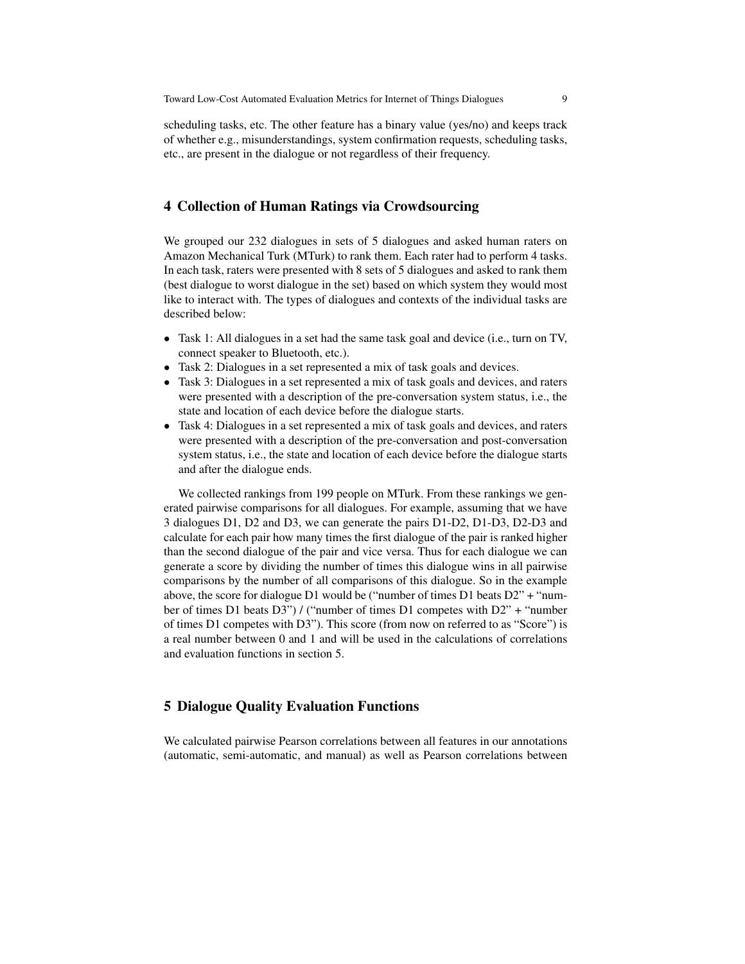scheduling tasks, etc. The other feature has a binary value (yes/no) and keeps track of whether e.g., misunderstandings, system confirmation requests, scheduling tasks, etc., are present in the dialogue or not regardless of their frequency.

## 4 Collection of Human Ratings via Crowdsourcing

We grouped our 232 dialogues in sets of 5 dialogues and asked human raters on Amazon Mechanical Turk (MTurk) to rank them. Each rater had to perform 4 tasks. In each task, raters were presented with 8 sets of 5 dialogues and asked to rank them (best dialogue to worst dialogue in the set) based on which system they would most like to interact with. The types of dialogues and contexts of the individual tasks are described below:

- Task 1: All dialogues in a set had the same task goal and device (i.e., turn on TV, connect speaker to Bluetooth, etc.).
- Task 2: Dialogues in a set represented a mix of task goals and devices.
- Task 3: Dialogues in a set represented a mix of task goals and devices, and raters were presented with a description of the pre-conversation system status, i.e., the state and location of each device before the dialogue starts.
- Task 4: Dialogues in a set represented a mix of task goals and devices, and raters were presented with a description of the pre-conversation and post-conversation system status, i.e., the state and location of each device before the dialogue starts and after the dialogue ends.

We collected rankings from 199 people on MTurk. From these rankings we generated pairwise comparisons for all dialogues. For example, assuming that we have 3 dialogues D1, D2 and D3, we can generate the pairs D1-D2, D1-D3, D2-D3 and calculate for each pair how many times the first dialogue of the pair is ranked higher than the second dialogue of the pair and vice versa. Thus for each dialogue we can generate a score by dividing the number of times this dialogue wins in all pairwise comparisons by the number of all comparisons of this dialogue. So in the example above, the score for dialogue D1 would be ("number of times D1 beats D2" + "number of times D1 beats D3") / ("number of times D1 competes with D2" + "number of times D1 competes with D3"). This score (from now on referred to as "Score") is a real number between 0 and 1 and will be used in the calculations of correlations and evaluation functions in section 5.

#### 5 Dialogue Quality Evaluation Functions

We calculated pairwise Pearson correlations between all features in our annotations (automatic, semi-automatic, and manual) as well as Pearson correlations between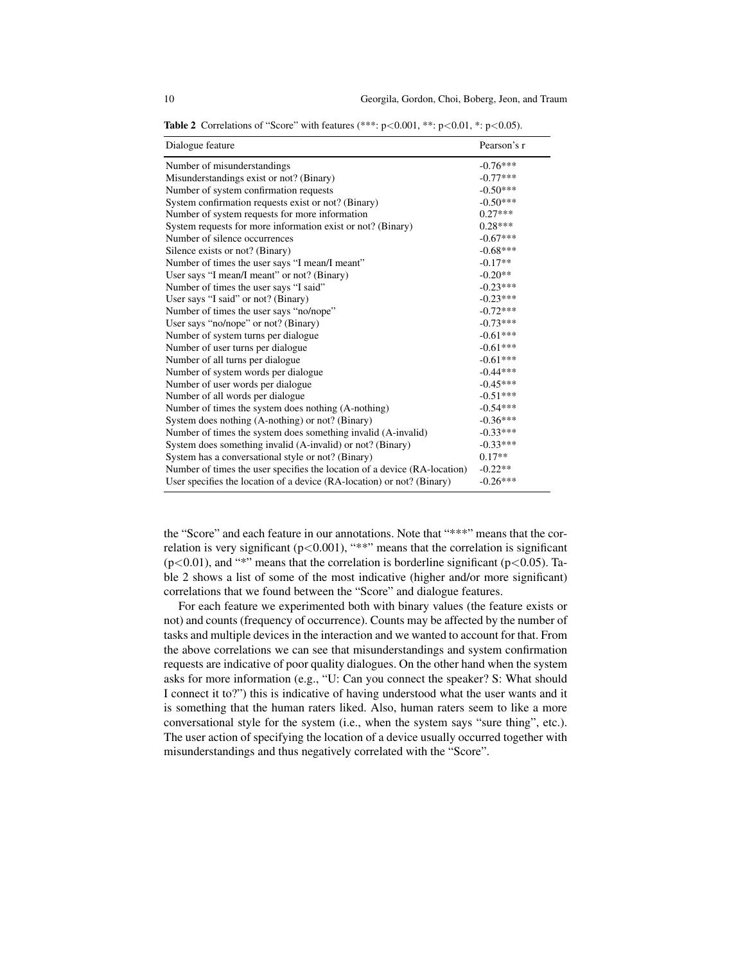| Dialogue feature                                                          | Pearson's r |
|---------------------------------------------------------------------------|-------------|
| Number of misunderstandings                                               | $-0.76***$  |
| Misunderstandings exist or not? (Binary)                                  | $-0.77***$  |
| Number of system confirmation requests                                    | $-0.50***$  |
| System confirmation requests exist or not? (Binary)                       | $-0.50***$  |
| Number of system requests for more information                            | $0.27***$   |
| System requests for more information exist or not? (Binary)               | $0.28***$   |
| Number of silence occurrences                                             | $-0.67***$  |
| Silence exists or not? (Binary)                                           | $-0.68***$  |
| Number of times the user says "I mean/I meant"                            | $-0.17**$   |
| User says "I mean/I meant" or not? (Binary)                               | $-0.20**$   |
| Number of times the user says "I said"                                    | $-0.23***$  |
| User says "I said" or not? (Binary)                                       | $-0.23***$  |
| Number of times the user says "no/nope"                                   | $-0.72***$  |
| User says "no/nope" or not? (Binary)                                      | $-0.73***$  |
| Number of system turns per dialogue                                       | $-0.61***$  |
| Number of user turns per dialogue                                         | $-0.61***$  |
| Number of all turns per dialogue                                          | $-0.61***$  |
| Number of system words per dialogue                                       | $-0.44***$  |
| Number of user words per dialogue                                         | $-0.45***$  |
| Number of all words per dialogue                                          | $-0.51***$  |
| Number of times the system does nothing (A-nothing)                       | $-0.54***$  |
| System does nothing (A-nothing) or not? (Binary)                          | $-0.36***$  |
| Number of times the system does something invalid (A-invalid)             | $-0.33***$  |
| System does something invalid (A-invalid) or not? (Binary)                | $-0.33***$  |
| System has a conversational style or not? (Binary)                        | $0.17**$    |
| Number of times the user specifies the location of a device (RA-location) | $-0.22**$   |
| User specifies the location of a device (RA-location) or not? (Binary)    | $-0.26***$  |

**Table 2** Correlations of "Score" with features (\*\*\*:  $p < 0.001$ , \*\*:  $p < 0.01$ , \*:  $p < 0.05$ ).

the "Score" and each feature in our annotations. Note that "\*\*\*" means that the correlation is very significant ( $p<0.001$ ), "\*\*" means that the correlation is significant  $(p<0.01)$ , and "\*" means that the correlation is borderline significant  $(p<0.05)$ . Table 2 shows a list of some of the most indicative (higher and/or more significant) correlations that we found between the "Score" and dialogue features.

For each feature we experimented both with binary values (the feature exists or not) and counts (frequency of occurrence). Counts may be affected by the number of tasks and multiple devices in the interaction and we wanted to account for that. From the above correlations we can see that misunderstandings and system confirmation requests are indicative of poor quality dialogues. On the other hand when the system asks for more information (e.g., "U: Can you connect the speaker? S: What should I connect it to?") this is indicative of having understood what the user wants and it is something that the human raters liked. Also, human raters seem to like a more conversational style for the system (i.e., when the system says "sure thing", etc.). The user action of specifying the location of a device usually occurred together with misunderstandings and thus negatively correlated with the "Score".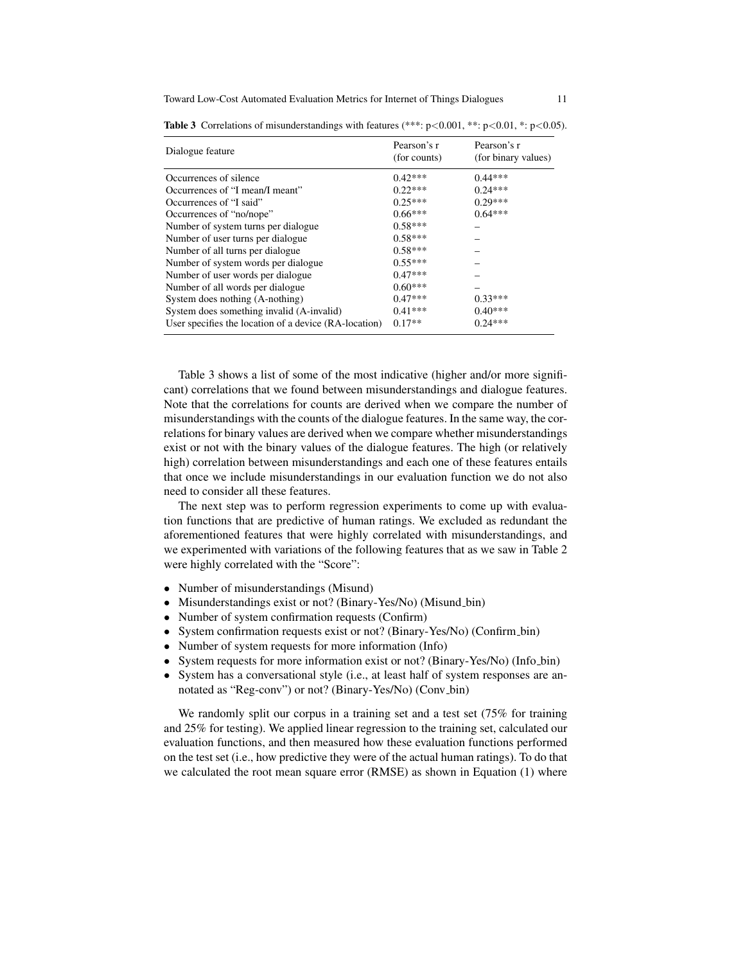Toward Low-Cost Automated Evaluation Metrics for Internet of Things Dialogues 11

| Dialogue feature                                      | Pearson's r<br>(for counts) | Pearson's r<br>(for binary values) |
|-------------------------------------------------------|-----------------------------|------------------------------------|
| Occurrences of silence                                | $0.42***$                   | $0.44***$                          |
| Occurrences of "I mean/I meant"                       | $0.22***$                   | $0.24***$                          |
| Occurrences of "I said"                               | $0.25***$                   | $0.29***$                          |
| Occurrences of "no/nope"                              | $0.66***$                   | $0.64***$                          |
| Number of system turns per dialogue.                  | $0.58***$                   |                                    |
| Number of user turns per dialogue.                    | $0.58***$                   |                                    |
| Number of all turns per dialogue.                     | $0.58***$                   |                                    |
| Number of system words per dialogue                   | $0.55***$                   |                                    |
| Number of user words per dialogue.                    | $0.47***$                   |                                    |
| Number of all words per dialogue.                     | $0.60***$                   |                                    |
| System does nothing (A-nothing)                       | $0.47***$                   | $0.33***$                          |
| System does something invalid (A-invalid)             | $0.41***$                   | $0.40***$                          |
| User specifies the location of a device (RA-location) | $0.17**$                    | $0.24***$                          |

**Table 3** Correlations of misunderstandings with features (\*\*\*:  $p<0.001$ , \*\*:  $p<0.01$ , \*:  $p<0.05$ ).

Table 3 shows a list of some of the most indicative (higher and/or more significant) correlations that we found between misunderstandings and dialogue features. Note that the correlations for counts are derived when we compare the number of misunderstandings with the counts of the dialogue features. In the same way, the correlations for binary values are derived when we compare whether misunderstandings exist or not with the binary values of the dialogue features. The high (or relatively high) correlation between misunderstandings and each one of these features entails that once we include misunderstandings in our evaluation function we do not also need to consider all these features.

The next step was to perform regression experiments to come up with evaluation functions that are predictive of human ratings. We excluded as redundant the aforementioned features that were highly correlated with misunderstandings, and we experimented with variations of the following features that as we saw in Table 2 were highly correlated with the "Score":

- Number of misunderstandings (Misund)
- Misunderstandings exist or not? (Binary-Yes/No) (Misund\_bin)
- Number of system confirmation requests (Confirm)
- System confirmation requests exist or not? (Binary-Yes/No) (Confirm\_bin)
- Number of system requests for more information (Info)
- System requests for more information exist or not? (Binary-Yes/No) (Info bin)
- System has a conversational style (i.e., at least half of system responses are annotated as "Reg-conv") or not? (Binary-Yes/No) (Conv bin)

We randomly split our corpus in a training set and a test set (75% for training and 25% for testing). We applied linear regression to the training set, calculated our evaluation functions, and then measured how these evaluation functions performed on the test set (i.e., how predictive they were of the actual human ratings). To do that we calculated the root mean square error (RMSE) as shown in Equation (1) where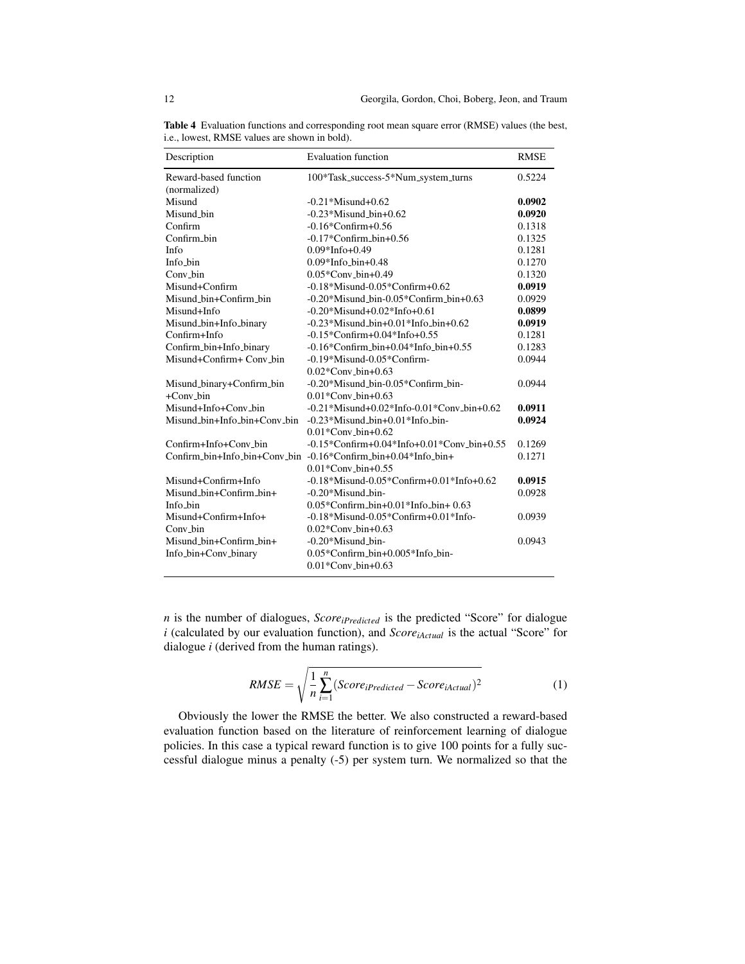| Description                      | <b>Evaluation function</b>                                     | <b>RMSE</b> |
|----------------------------------|----------------------------------------------------------------|-------------|
| Reward-based function            | 100*Task_success-5*Num_system_turns                            | 0.5224      |
| (normalized)                     |                                                                |             |
| Misund                           | $-0.21*$ Misund $+0.62$                                        | 0.0902      |
| Misund bin                       | $-0.23*$ Misund bin $+0.62$                                    | 0.0920      |
| Confirm                          | $-0.16$ *Confirm $+0.56$                                       | 0.1318      |
| Confirm_bin                      | $-0.17$ *Confirm_bin $+0.56$                                   | 0.1325      |
| Info                             | $0.09*Info+0.49$                                               | 0.1281      |
| Info <sub>-bin</sub>             | $0.09*$ Info <sub>-bin+0.48</sub>                              | 0.1270      |
| Conv_bin                         | $0.05$ *Conv_bin+0.49                                          | 0.1320      |
| Misund+Confirm                   | $-0.18*$ Misund-0.05*Confirm+0.62                              | 0.0919      |
| Misund_bin+Confirm_bin           | $-0.20*$ Misund_bin- $0.05*$ Confirm_bin+ $0.63$               | 0.0929      |
| Misund+Info                      | $-0.20*$ Misund $+0.02*$ Info $+0.61$                          | 0.0899      |
| Misund_bin+Info_binary           | $-0.23*$ Misund_bin $+0.01*$ Info_bin $+0.62$                  | 0.0919      |
| Confirm+Info                     | $-0.15$ *Confirm $+0.04$ *Info $+0.55$                         | 0.1281      |
| Confirm_bin+Info_binary          | $-0.16$ *Confirm_bin $+0.04$ *Info_bin $+0.55$                 | 0.1283      |
| Misund+Confirm+ Conv bin         | $-0.19*$ Misund- $0.05*$ Confirm-                              | 0.0944      |
|                                  | $0.02$ *Conv_bin+0.63                                          |             |
| Misund_binary+Confirm_bin        | -0.20*Misund_bin-0.05*Confirm_bin-                             | 0.0944      |
| $+Conv\_bin$                     | $0.01$ *Conv_bin+0.63                                          |             |
| Misund+Info+Conv bin             | $-0.21*$ Misund $+0.02*$ Info $-0.01*$ Conv $\phi$ bin $+0.62$ | 0.0911      |
| Misund_bin+Info_bin+Conv_bin     | $-0.23*$ Misund bin $+0.01*$ Info bin-                         | 0.0924      |
|                                  | $0.01$ *Conv_bin+0.62                                          |             |
| Confirm+Info+Conv bin            | $-0.15$ *Confirm $+0.04$ *Info $+0.01$ *Conv bin $+0.55$       | 0.1269      |
|                                  | Confirm_bin+Info_bin+Conv_bin -0.16*Confirm_bin+0.04*Info_bin+ | 0.1271      |
|                                  | $0.01$ *Conv bin+0.55                                          |             |
| Misund+Confirm+Info              | $-0.18*$ Misund-0.05*Confirm+0.01*Info+0.62                    | 0.0915      |
| Misund_bin+Confirm_bin+          | $-0.20*$ Misund bin-                                           | 0.0928      |
| Info_bin                         | $0.05 *$ Confirm_bin+0.01*Info_bin+0.63                        |             |
| Misund+Confirm+Info+             | $-0.18*$ Misund-0.05*Confirm+0.01*Info-                        | 0.0939      |
| Conv_bin                         | $0.02$ *Conv_bin+0.63                                          |             |
| Misund_bin+Confirm_bin+          | $-0.20$ *Misund_bin-                                           | 0.0943      |
| Info <sub>-bin+Conv-binary</sub> | $0.05*$ Confirm_bin+ $0.005*$ Info_bin-                        |             |
|                                  | $0.01$ *Conv_bin+0.63                                          |             |

Table 4 Evaluation functions and corresponding root mean square error (RMSE) values (the best, i.e., lowest, RMSE values are shown in bold).

*n* is the number of dialogues, *Score*<sub>iPredicted</sub> is the predicted "Score" for dialogue *i* (calculated by our evaluation function), and *Score<sub>iActual</sub>* is the actual "Score" for dialogue *i* (derived from the human ratings).

$$
RMSE = \sqrt{\frac{1}{n} \sum_{i=1}^{n} (Score_{iPredicted} - Score_{iActual})^2}
$$
 (1)

Obviously the lower the RMSE the better. We also constructed a reward-based evaluation function based on the literature of reinforcement learning of dialogue policies. In this case a typical reward function is to give 100 points for a fully successful dialogue minus a penalty (-5) per system turn. We normalized so that the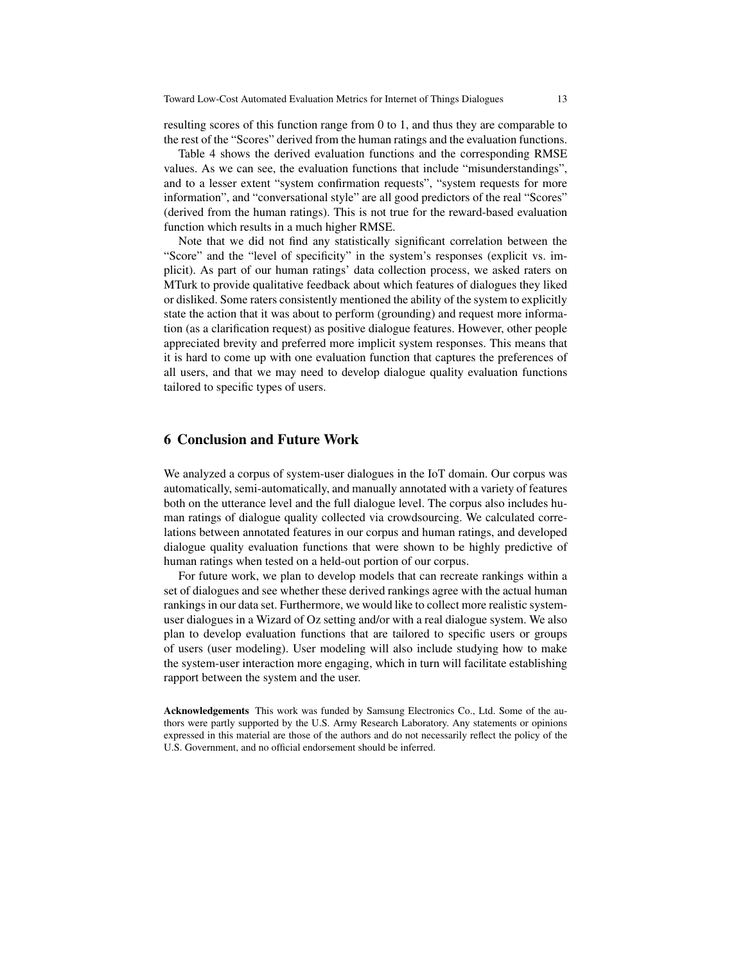resulting scores of this function range from 0 to 1, and thus they are comparable to the rest of the "Scores" derived from the human ratings and the evaluation functions.

Table 4 shows the derived evaluation functions and the corresponding RMSE values. As we can see, the evaluation functions that include "misunderstandings", and to a lesser extent "system confirmation requests", "system requests for more information", and "conversational style" are all good predictors of the real "Scores" (derived from the human ratings). This is not true for the reward-based evaluation function which results in a much higher RMSE.

Note that we did not find any statistically significant correlation between the "Score" and the "level of specificity" in the system's responses (explicit vs. implicit). As part of our human ratings' data collection process, we asked raters on MTurk to provide qualitative feedback about which features of dialogues they liked or disliked. Some raters consistently mentioned the ability of the system to explicitly state the action that it was about to perform (grounding) and request more information (as a clarification request) as positive dialogue features. However, other people appreciated brevity and preferred more implicit system responses. This means that it is hard to come up with one evaluation function that captures the preferences of all users, and that we may need to develop dialogue quality evaluation functions tailored to specific types of users.

### 6 Conclusion and Future Work

We analyzed a corpus of system-user dialogues in the IoT domain. Our corpus was automatically, semi-automatically, and manually annotated with a variety of features both on the utterance level and the full dialogue level. The corpus also includes human ratings of dialogue quality collected via crowdsourcing. We calculated correlations between annotated features in our corpus and human ratings, and developed dialogue quality evaluation functions that were shown to be highly predictive of human ratings when tested on a held-out portion of our corpus.

For future work, we plan to develop models that can recreate rankings within a set of dialogues and see whether these derived rankings agree with the actual human rankings in our data set. Furthermore, we would like to collect more realistic systemuser dialogues in a Wizard of Oz setting and/or with a real dialogue system. We also plan to develop evaluation functions that are tailored to specific users or groups of users (user modeling). User modeling will also include studying how to make the system-user interaction more engaging, which in turn will facilitate establishing rapport between the system and the user.

Acknowledgements This work was funded by Samsung Electronics Co., Ltd. Some of the authors were partly supported by the U.S. Army Research Laboratory. Any statements or opinions expressed in this material are those of the authors and do not necessarily reflect the policy of the U.S. Government, and no official endorsement should be inferred.